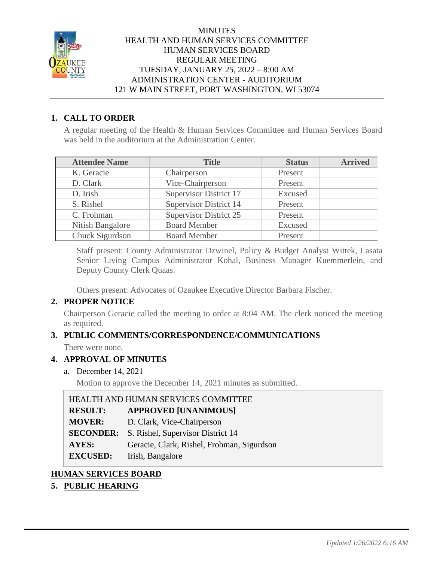

### **MINUTES** HEALTH AND HUMAN SERVICES COMMITTEE HUMAN SERVICES BOARD REGULAR MEETING TUESDAY, JANUARY 25, 2022 – 8:00 AM ADMINISTRATION CENTER - AUDITORIUM 121 W MAIN STREET, PORT WASHINGTON, WI 53074

# **1. CALL TO ORDER**

A regular meeting of the Health & Human Services Committee and Human Services Board was held in the auditorium at the Administration Center.

| <b>Attendee Name</b> | <b>Title</b>                  | <b>Status</b> | <b>Arrived</b> |
|----------------------|-------------------------------|---------------|----------------|
| K. Geracie           | Chairperson                   | Present       |                |
| D. Clark             | Vice-Chairperson              | Present       |                |
| D. Irish             | <b>Supervisor District 17</b> | Excused       |                |
| S. Rishel            | <b>Supervisor District 14</b> | Present       |                |
| C. Frohman           | <b>Supervisor District 25</b> | Present       |                |
| Nitish Bangalore     | <b>Board Member</b>           | Excused       |                |
| Chuck Sigurdson      | <b>Board Member</b>           | Present       |                |

Staff present: County Administrator Dzwinel, Policy & Budget Analyst Wittek, Lasata Senior Living Campus Administrator Kohal, Business Manager Kuemmerlein, and Deputy County Clerk Quaas.

Others present: Advocates of Ozaukee Executive Director Barbara Fischer.

# **2. PROPER NOTICE**

Chairperson Geracie called the meeting to order at 8:04 AM. The clerk noticed the meeting as required.

# **3. PUBLIC COMMENTS/CORRESPONDENCE/COMMUNICATIONS**

There were none.

# **4. APPROVAL OF MINUTES**

a. December 14, 2021

Motion to approve the December 14, 2021 minutes as submitted.

| HEALTH AND HUMAN SERVICES COMMITTEE |                                            |  |
|-------------------------------------|--------------------------------------------|--|
| <b>RESULT:</b>                      | <b>APPROVED [UNANIMOUS]</b>                |  |
| <b>MOVER:</b>                       | D. Clark, Vice-Chairperson                 |  |
| <b>SECONDER:</b>                    | S. Rishel, Supervisor District 14          |  |
| <b>AYES:</b>                        | Geracie, Clark, Rishel, Frohman, Sigurdson |  |
| <b>EXCUSED:</b>                     | Irish, Bangalore                           |  |

# **HUMAN SERVICES BOARD**

# **5. PUBLIC HEARING**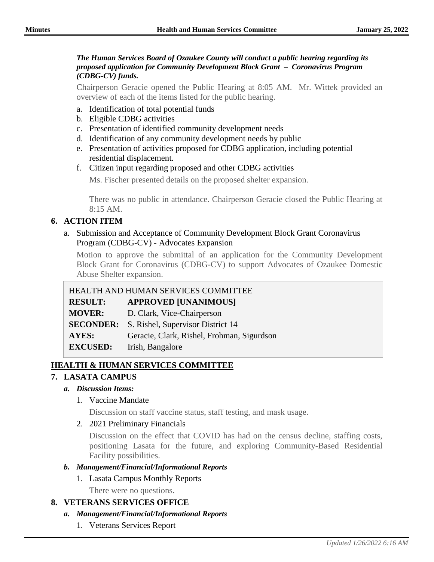#### *The Human Services Board of Ozaukee County will conduct a public hearing regarding its proposed application for Community Development Block Grant – Coronavirus Program (CDBG-CV) funds.*

Chairperson Geracie opened the Public Hearing at 8:05 AM. Mr. Wittek provided an overview of each of the items listed for the public hearing.

- a. Identification of total potential funds
- b. Eligible CDBG activities
- c. Presentation of identified community development needs
- d. Identification of any community development needs by public
- e. Presentation of activities proposed for CDBG application, including potential residential displacement.
- f. Citizen input regarding proposed and other CDBG activities

Ms. Fischer presented details on the proposed shelter expansion.

There was no public in attendance. Chairperson Geracie closed the Public Hearing at 8:15 AM.

# **6. ACTION ITEM**

a. Submission and Acceptance of Community Development Block Grant Coronavirus Program (CDBG-CV) - Advocates Expansion

Motion to approve the submittal of an application for the Community Development Block Grant for Coronavirus (CDBG-CV) to support Advocates of Ozaukee Domestic Abuse Shelter expansion.

# HEALTH AND HUMAN SERVICES COMMITTEE

**RESULT: APPROVED [UNANIMOUS]**

**MOVER:** D. Clark, Vice-Chairperson

**SECONDER:** S. Rishel, Supervisor District 14

**AYES:** Geracie, Clark, Rishel, Frohman, Sigurdson

**EXCUSED:** Irish, Bangalore

# **HEALTH & HUMAN SERVICES COMMITTEE**

# **7. LASATA CAMPUS**

#### *a. Discussion Items:*

1. Vaccine Mandate

Discussion on staff vaccine status, staff testing, and mask usage.

#### 2. 2021 Preliminary Financials

Discussion on the effect that COVID has had on the census decline, staffing costs, positioning Lasata for the future, and exploring Community-Based Residential Facility possibilities.

#### *b. Management/Financial/Informational Reports*

- 1. Lasata Campus Monthly Reports
	- There were no questions.

# **8. VETERANS SERVICES OFFICE**

#### *a. Management/Financial/Informational Reports*

1. Veterans Services Report